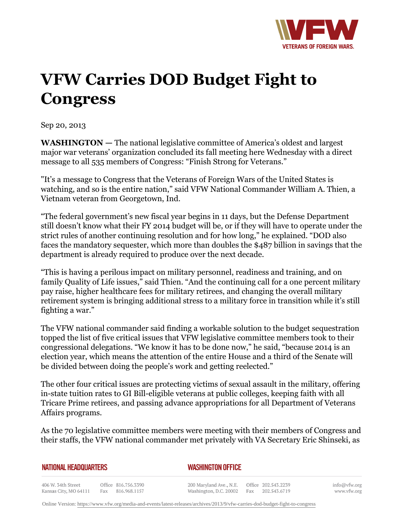

## **VFW Carries DOD Budget Fight to Congress**

Sep 20, 2013

**WASHINGTON —** The national legislative committee of America's oldest and largest major war veterans' organization concluded its fall meeting here Wednesday with a direct message to all 535 members of Congress: "Finish Strong for Veterans."

"It's a message to Congress that the Veterans of Foreign Wars of the United States is watching, and so is the entire nation," said VFW National Commander William A. Thien, a Vietnam veteran from Georgetown, Ind.

"The federal government's new fiscal year begins in 11 days, but the Defense Department still doesn't know what their FY 2014 budget will be, or if they will have to operate under the strict rules of another continuing resolution and for how long," he explained. "DOD also faces the mandatory sequester, which more than doubles the \$487 billion in savings that the department is already required to produce over the next decade.

"This is having a perilous impact on military personnel, readiness and training, and on family Quality of Life issues," said Thien. "And the continuing call for a one percent military pay raise, higher healthcare fees for military retirees, and changing the overall military retirement system is bringing additional stress to a military force in transition while it's still fighting a war."

The VFW national commander said finding a workable solution to the budget sequestration topped the list of five critical issues that VFW legislative committee members took to their congressional delegations. "We know it has to be done now," he said, "because 2014 is an election year, which means the attention of the entire House and a third of the Senate will be divided between doing the people's work and getting reelected."

The other four critical issues are protecting victims of sexual assault in the military, offering in-state tuition rates to GI Bill-eligible veterans at public colleges, keeping faith with all Tricare Prime retirees, and passing advance appropriations for all Department of Veterans Affairs programs.

As the 70 legislative committee members were meeting with their members of Congress and their staffs, the VFW national commander met privately with VA Secretary Eric Shinseki, as

## **NATIONAL HEADQUARTERS**

## *WASHINGTON OFFICE*

406 W. 34th Street Office 816.756.3390 Fax 816.968.1157 Kansas City, MO 64111

200 Maryland Ave., N.E. Washington, D.C. 20002 Fax 202.543.6719

Office 202.543.2239

info@vfw.org www.vfw.org

Online Version:<https://www.vfw.org/media-and-events/latest-releases/archives/2013/9/vfw-carries-dod-budget-fight-to-congress>